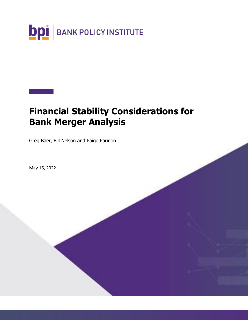

# **Financial Stability Considerations for Bank Merger Analysis**

Greg Baer, Bill Nelson and Paige Paridon

May 16, 2022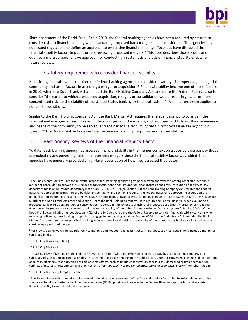

Since enactment of the Dodd-Frank Act in 2010, the federal banking agencies have been required by statute to consider risks to financial stability when evaluating proposed bank mergers and acquisitions.<sup>1</sup> The agencies have not issued regulations to define an approach to evaluating financial stability effects but have discussed the financial stability factors in public orders reviewing proposed mergers.<sup>2</sup> This note describes those orders and outlines a more comprehensive approach for conducting a systematic analysis of financial stability effects for future reviews.

## I. Statutory requirements to consider financial stability

Historically, federal law has required the federal banking agencies to consider a variety of competitive, managerial, community and other factors in assessing a merger or acquisition.<sup>3</sup> Financial stability became one of these factors in 2010, when the Dodd-Frank Act amended the Bank Holding Company Act to require the Federal Reserve also to consider "the extent to which a proposed acquisition, merger, or consolidation would result in greater or more concentrated risks to the stability of the United States banking or financial system."<sup>4</sup> A similar provision applies to nonbank acquisitions.<sup>5</sup>

Similar to the Bank Holding Company Act, the Bank Merger Act requires the relevant agency to consider "the financial and managerial resources and future prospects of the existing and proposed institutions, the convenience and needs of the community to be served, and *the risk to the stability of the United States banking or financial system*."<sup>6</sup> The Dodd-Frank Act does not define financial stability for purposes of either statute.

# II. Past Agency Reviews of the Financial Stability Factor

To date, each banking agency has assessed financial stability in the merger context on a case-by-case basis without promulgating any governing rules.<sup>7</sup> In approving mergers since the financial stability factor was added, the agencies have generally provided a high-level description of how they assessed that factor.

 $3$  12 U.S.C. § 1842(c)(2)-(3), (6).

<sup>4</sup> 12 U.S.C. § 1842(c)(7).

 $6$  12 U.S.C. § 1828(c)(5) (emphasis added).

<sup>&</sup>lt;sup>1</sup> The Bank Merger Act requires the relevant "responsible" banking agency to give prior written approval for, among other transactions, a merger or consolidation between insured depository institutions or an assumption by an insured depository institution of liability to pay deposits made in an uninsured depository institution. 12 U.S.C. § 1828(c). Section 3 of the Bank Holding Company Act requires the Federal Reserve to approve an acquisition of a bank by any company, and Section 4 requires the Federal Reserve to approve the acquisition of a nonbank company (or a proposal to directly engage in nonbanking activities) by bank holding companies. 12 U.S.C. §§ 1842(a), 1843(j). Section 604(d) of the Dodd-Frank Act amended Section 3(c) of the Bank Holding Company Act to require the Federal Reserve, when evaluating a proposed bank acquisition, merger, or consolidation, to consider "the extent to which [the] proposed acquisition, merger, or consolidation would result in greater or more concentrated risks to the stability of the United States banking or financial system." Section 604(e) of the Dodd-Frank Act similarly amended Section 4(j)(2) of the BHC Act to require the Federal Reserve to consider financial stability concerns when reviewing notices by bank holding companies to engage in nonbanking activities. Section 604(f) of the Dodd-Frank Act amended the Bank Merger Act to require the "responsible" banking agency to consider the risk to the stability of the United States banking or financial system in considering a proposed merger.

<sup>&</sup>lt;sup>2</sup> For brevity's sake, we will below refer only to mergers and not add "and acquisitions," in part because most acquisitions include a merger of subsidiary banks.

<sup>5</sup> 12 U.S.C. § 1843(j)(2) requires the Federal Reserve to consider "whether performance of the activity by a bank holding company or a subsidiary of such company can reasonably be expected to produce benefits to the public, such as greater convenience, increased competition, or gains in efficiency, that outweigh possible adverse effects, such as undue concentration of resources, decreased or unfair competition, conflicts of interests, unsound banking practices, or *risk to the stability of the United States banking or financial system*." (emphasis added).

<sup>&</sup>lt;sup>7</sup> The Federal Reserve has not adopted a regulation relating to its assessment of the financial stability factor, but its rules relating to capital surcharges for global, systemic bank holding companies (GSIBs) provide guidance as to the Federal Reserve's approach to and analysis of financial stability issues related to large banks.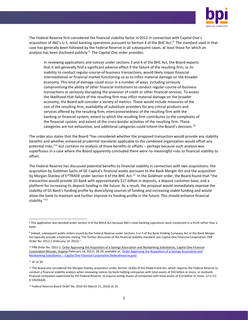

The Federal Reserve first considered the financial stability factor in 2012 in connection with Capital One's acquisition of ING's U.S. retail banking operations pursuant to Section 4 of the BHC Act.<sup>8</sup> The standard used in that case has generally been followed by the Federal Reserve in all subsequent cases, at least those for which an analysis has been disclosed publicly.<sup>9</sup> The *Capital One* order provides:

In reviewing applications and notices under sections 3 and 4 of the BHC Act, the Board expects that it will generally find a significant adverse effect if the failure of the resulting firm, or its inability to conduct regular-course-of-business transactions, would likely impair financial intermediation or financial market functioning so as to inflict material damage on the broader economy. This kind of damage could occur in a number of ways, including seriously compromising the ability of other financial institutions to conduct regular-course-of-business transactions or seriously disrupting the provision of credit or other financial services. To assess the likelihood that failure of the resulting firm may inflict material damage on the broader economy, the Board will consider a variety of metrics. These would include measures of the size of the resulting firm; availability of substitute providers for any critical products and services offered by the resulting firm; interconnectedness of the resulting firm with the banking or financial system; extent to which the resulting firm contributes to the complexity of the financial system; and extent of the cross-border activities of the resulting firm. These categories are not exhaustive, and additional categories could inform the Board's decision.<sup>10</sup>

The order also states that the Board "has considered whether the proposed transaction would provide any stability benefits and whether enhanced prudential standards applicable to the combined organization would offset any potential risks,"<sup>11</sup> but contains no analysis of those benefits or offsets – perhaps because such analysis was superfluous in a case where the Board apparently concluded there were no meaningful risks to financial stability to offset.

The Federal Reserve has discussed potential benefits to financial stability in connection with two acquisitions: the acquisition by Goldman Sachs of GE Capital's financial assets pursuant to the Bank Merger Act and the acquisition by Morgan Stanley of E\*TRADE under Section 4 of the BHC Act.<sup>12</sup> In the *Goldman* order, the Board found that "the transaction would provide GS Bank with approximately \$17 billion in deposits, a deposit customer base, and a platform for increasing its deposit funding in the future. As a result, the proposal would immediately improve the stability of GS Bank's funding profile by diversifying sources of funding and increasing stable funding and would allow the bank to maintain and further improve its funding profile in the future. This should enhance financial stability."<sup>13</sup>

<sup>8</sup> This application was decided under section 4 of the BHCA Act because ING's retail banking operations were conducted in a thrift rather than a bank.

<sup>&</sup>lt;sup>9</sup> Indeed, subsequent public orders issued by the Federal Reserve under Sections 3 or 4 of the Bank Holding Company Act or the Bank Merger Act typically provide a footnote stating "For further discussion of the financial stability standard, see Capital One Financial Corporation, FRB Order No. 2012-2 (February 14, 2012)."

<sup>10</sup> FRB Order No. 2012-2, Order Approving the Acquisition of a Savings Association and Nonbanking Subsidiaries, Capital One Financial Corporation McLean, Virginia (February 14, 2012), 28-29; available at: [Order Approving the Acquisition of a Savings Association and](https://www.federalreserve.gov/newsevents/pressreleases/files/order20120214.pdf)  Nonbanking Subsidiaries -- [Capital One Financial Corporation \(federalreserve.gov\)](https://www.federalreserve.gov/newsevents/pressreleases/files/order20120214.pdf)

<sup>11</sup> *Id*. at 36.

<sup>&</sup>lt;sup>12</sup> The Board also considered the Morgan Stanley acquisition under Section 163(b) of the Dodd-Frank Act, which requires the Federal Reserve to conduct a financial stability analysis when reviewing notices by bank holding companies with total assets of \$50 billion or more, or nonbank financial companies supervised by the Federal Reserve, to acquire voting shares of companies with total assets of \$10 billion or more. 12 U.S.C. § 5363(b)(4).

<sup>13</sup> Federal Reserve Board Order No. 2016-03 (March 21, 2016) at 23.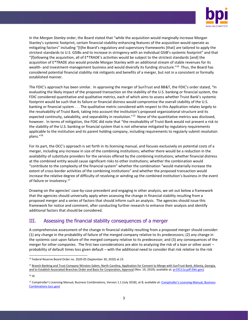

In the *Morgan Stanley* order, the Board stated that "while the acquisition would marginally increase Morgan Stanley's systemic footprint, certain financial-stability-enhancing features of the acquisition would operate as mitigating factors" including "[t]he Board's regulatory and supervisory frameworks [that] are tailored to apply the strictest standards to U.S. GSIBs and to increase in stringency with an individual GSIB's systemic footprint" and that "[f]ollowing the acquisition, all of  $E^*TRADE's$  activities would be subject to the strictest standards [and] the acquisition of E\*TRADE also would provide Morgan Stanley with an additional stream of stable revenues for its wealth- and investment-management business and would diversify its funding structure."<sup>14</sup> Thus, the Board has considered potential financial stability risk mitigants and benefits of a merger, but not in a consistent or formally established manner.

The FDIC's approach has been similar. In approving the merger of SunTrust and BB&T, the FDIC's order stated, "In evaluating the likely impact of the proposed transaction on the stability of the U.S. banking or financial system, the FDIC considered quantitative and qualitative metrics, each of which aims to assess whether Truist Bank's systemic footprint would be such that its failure or financial distress would compromise the overall stability of the U.S. banking or financial system . . . The qualitative metric considered with respect to this Application relates largely to the resolvability of Truist Bank, taking into account the institution's proposed organizational structure and its expected continuity, saleability, and separability in resolution."<sup>15</sup> None of the quantitative metrics was disclosed, however. In terms of mitigation, the FDIC did note that "the resolvability of Truist Bank would not present a risk to the stability of the U.S. banking or financial system that is not otherwise mitigated by regulatory requirements applicable to the institution and its parent holding company, including requirements to regularly submit resolution plans."<sup>16</sup>

For its part, the OCC's approach is set forth in its licensing manual, and focuses exclusively on potential costs of a merger, including any increase in size of the combining institutions; whether there would be a reduction in the availability of substitute providers for the services offered by the combining institutions; whether financial distress at the combined entity would cause significant risks to other institutions; whether the combination would "contribute to the complexity of the financial system" whether the combination "would materially increase the extent of cross-border activities of the combining institutions" and whether the proposed transaction would increase the relative degree of difficulty of resolving or winding up the combined institution's business in the event of failure or insolvency.<sup>17</sup>

Drawing on the agencies' case-by-case precedent and engaging in other analysis, we set out below a framework that the agencies should universally apply when assessing the change in financial stability resulting from a proposed merger and a series of factors that should inform such an analysis. The agencies should issue this framework for notice and comment, after conducting further research to enhance their analysis and identify additional factors that should be considered.

# III. Assessing the financial stability consequences of a merger

A comprehensive assessment of the change in financial stability resulting from a proposed merger should consider: (1) any change in the probability of failure of the merged company relative to its predecessors; (2) any change in the systemic cost upon failure of the merged company relative to its predecessor; and (3) any consequences of the merger for other companies. The first two considerations are akin to analyzing the risk of a loan or other asset – probability of default times loss given default – with the additional need to consider that risk *relative* to the risk

<sup>14</sup> Federal Reserve Board Order no. 2020-05 (September 30, 2020) at 23.

<sup>&</sup>lt;sup>15</sup> Branch Banking and Trust Company Winston-Salem, North Carolina, Application for Consent to Merge with SunTrust Bank, Atlanta, Georgia, and to Establish Associated Branches Order and Basis for Corporation, Approval (Nov. 19, 2019); available at[: pr19111a.pdf \(fdic.gov\).](https://www.fdic.gov/news/press-releases/2019/pr19111a.pdf)

<sup>16</sup> *Id*.

<sup>&</sup>lt;sup>17</sup> [Comptroller's Licensing Manual, Business](https://www.occ.gov/publications-and-resources/publications/comptrollers-licensing-manual/files/bizcombo.pdf) Combinations, Version 1.1 (July 2018), at 8; available at: Comptroller's Licensing Manual, Business [Combinations \(occ.gov\)](https://www.occ.gov/publications-and-resources/publications/comptrollers-licensing-manual/files/bizcombo.pdf)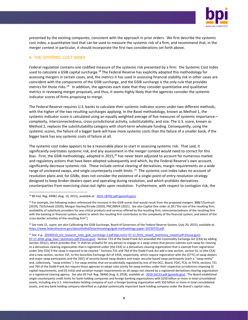

presented by the existing companies, consistent with the approach in prior orders. We first describe the systemic cost index, a quantitative tool that can be used to measure the systemic risk of a firm, and recommend that, in the merger context in particular, it should incorporate the first two considerations set forth above.

#### A. THE SYSTEMIC COST INDEX

Federal regulation contains one codified measure of the systemic risk presented by a firm: the Systemic Cost Index used to calculate a GSIB capital surcharge.<sup>18</sup> The Federal Reserve has explicitly adopted this methodology for assessing mergers in certain cases, and, the metrics it has used in assessing financial stability risk in other cases are coincident with the components of the GSIB surcharge, and the GSIB surcharge is the only rule that provides metrics for those risks.<sup>19</sup> In addition, the agencies each state that they consider quantitative and qualitative metrics in reviewing merger proposals, and thus, it seems highly likely that the agencies consider the systemic indicator scores of firms proposing to merge.

The Federal Reserve requires U.S. banks to calculate their systemic indicator scores under two different methods, with the higher of the two resulting surcharges applying. In the Basel methodology, known as Method 1, the systemic indicator score is calculated using an equally weighted average of five measures of systemic importance complexity, interconnectedness, cross-jurisdictional activity, substitutability, and size. The U.S. score, known as Method 2, replaces the substitutability category with short-term wholesale funding. Consequently, using the systemic scores, the failure of a bigger bank will have more systemic costs than the failure of a smaller bank, if the bigger bank has any systemic costs of failure at all.

The systemic cost index appears to be a reasonable place to start in assessing systemic risk. That said, it significantly overstates systemic risk, and any assessment in the merger context would need to correct for this bias. First, the GSIB methodology, adopted in 2015,<sup>20</sup> has never been adjusted to account for numerous market and regulatory actions that have been adopted subsequently and which, by the Federal Reserve's own account, significantly decrease systemic risk. These include central clearing of derivatives, margin requirements on a wide range of uncleared swaps, and single counterparty credit limits. <sup>21</sup> The systemic cost index takes no account of resolution plans and, for GSIBs, does not consider the existence of a single-point-of-entry resolution strategy designed to keep broker-dealers open and operating during resolution, and which prohibits derivatives counterparties from exercising close-out rights upon resolution. Furthermore, with respect to contagion risk, the

<sup>20</sup> *See* note 15, *supra*; *see also* Calibrating the GSIB Surcharge, Board of Governors of the Federal Reserve System, (July 20, 2015), available at: [https://www.federalreserve.gov/aboutthefed/boardmeetings/gsib-methodology-paper-20150720.pdf.](https://www.federalreserve.gov/aboutthefed/boardmeetings/gsib-methodology-paper-20150720.pdf)

<sup>21</sup> See, e.g., [20160510\\_tch\\_research\\_note\\_gsib\\_surcharge-1.pdf \(bpi.com\);](https://bpi.com/wp-content/uploads/2018/07/20160510_tch_research_note_gsib_surcharge-1.pdf) [07.12.2016\\_newell\\_testimony\\_newell.pdf \(house.gov\);](https://financialservices.house.gov/uploadedfiles/07.12.2016_newell_testimony_newell.pdf) 07.17.2018 greg baer testimony.pdf (house.gov). Section 723 of the Dodd-Frank Act amended the Commodity Exchange Act (CEA) by adding Section 2(h)(1), which provides that "it shall be unlawful for any person to engage in a swap unless that person submits such swap for clearing to a derivatives clearing organization that is registered under [the CEA] or a derivatives clearing organization that is exempt from registration under [the CEA] if the swap is required to be cleared." Sections 731 and 764 of the Dodd-Frank Act add a new section, section 4s, to [the CEA] and a new section, section 15F, to the Securities Exchange Act of 1934, respectively, which require registration with the [CFTC] of swap dealers and major swap participants and the [SEC] of security-based swap dealers and major security-based swap participants (each a ''swap entity'' and, collectively, ''swap entities''). For swap entities that are prudentially regulated by one of the OCC, Board, FDIC, FCA, or FHFA, sections 731 and 764 of the Dodd-Frank Act require those agencies to adopt rules jointly for swap entities under their respective jurisdictions imposing (i) capital requirements, and (ii) initial and variation margin requirements on all swaps not cleared by a registered derivatives clearing organization or a registered clearing agency. *See also* 83 Fed. Reg. 38460 (Aug. 6, 2018), available at: [2018-16133.pdf \(govinfo.gov\).](https://www.govinfo.gov/content/pkg/FR-2018-08-06/pdf/2018-16133.pdf) The Board established single-counterparty credit limits for bank holding companies and foreign banking organizations with \$250 billion or more in total consolidated

assets, including any U.S. intermediate holding company of such a foreign banking organization with \$50 billion or more in total consolidated assets, and any bank holding company identified as a global systemically important bank holding company under the Board's capital rules.

<sup>18</sup> 80 Fed. Reg. 49082 (Aug. 14, 2015), available at: [2015-18702.pdf \(govinfo.gov\).](https://www.govinfo.gov/content/pkg/FR-2015-08-14/pdf/2015-18702.pdf)

<sup>&</sup>lt;sup>19</sup> For example, the following orders referenced the increase in the GSIB scores that would result from the proposed mergers: BB&T/Suntrust (2019), TD/Schwab (2020), Morgan Stanley/Etrade (2020), PNC/BBVA (2021). *See also* Capital One order at 28 ("the size of the resulting firm; availability of substitute providers for any critical products and services offered by the resulting firm; interconnectedness of the resulting firm with the banking or financial system; extent to which the resulting firm contributes to the complexity of the financial system; and extent of the cross-border activities of the resulting firm").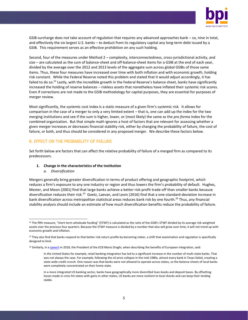

GSIB surcharge does not take account of regulation that requires any advanced approaches bank – so, nine in total, and effectively the six largest U.S. banks – to deduct from its regulatory capital any long-term debt issued by a GSIB. This requirement serves as an effective prohibition on any such holding.

Second, four of the measures under Method 2 – complexity, interconnectedness, cross-jurisdictional activity, and size – are calculated as the sum of balance-sheet and off-balance-sheet items for a GSIB at the end of each year, divided by the average over the 2012 and 2013 levels of the aggregate sum across global GSIBs of those same items. Thus, these four measures have increased over time with both inflation and with economic growth, holding risk constant. While the Federal Reserve noted this problem and stated that it would adjust accordingly, it has failed to do so.<sup>22</sup> Lastly, with the incredible growth in the Federal Reserve's balance sheet, banks have significantly increased the holding of reserve balances – riskless assets that nonetheless have inflated their systemic risk scores. Even if corrections are not made to the GSIB methodology for capital purposes, they are essential for purposes of merger review.

Most significantly, the systemic cost index is a static measure of a given firm's systemic risk. It allows for comparison in the case of a merger to only a very limited extent – that is, one can add up the index for the two merging institutions and see if the sum is higher, lower, or (most likely) the same as the *pro forma* index for the combined organization. But that simple math ignores a host of factors that are relevant for assessing whether a given merger increases or decreases financial stability risk, either by changing the probability of failure, the cost of failure, or both, and thus should be considered in any proposed merger. We describe these factors below.

#### B. EFFECT ON THE PROBABILITY OF FAILURE

Set forth below are factors that can affect the relative probability of failure of a merged firm as compared to its predecessors.

#### **1. Change in the characteristics of the institution**

#### *a. Diversification*

Mergers generally bring greater diversification in terms of product offering and geographic footprint, which reduces a firm's exposure to any one industry or region and thus lowers the firm's probability of default. Hughes, Mester, and Moon (2001) find that large banks achieve a better risk-profit trade-off than smaller banks because diversification reduces their risk.<sup>23</sup> Goetz, Laevan, and Levin (2016) find that a one-standard-deviation increase in bank diversification across metropolitan statistical areas reduces bank risk by one fourth.<sup>24</sup> Thus, any financial stability analysis should include an estimate of how much diversification benefits reduce the probability of failure.

<sup>&</sup>lt;sup>22</sup> The fifth measure, "short-term wholesale funding" (STWF) is calculated as the ratio of the GSIB's STWF divided by its average risk-weighted assets over the previous four quarters. Because the STWF measure is divided by a number that also will grow over time, it will not trend up with economic growth and inflation.

<sup>&</sup>lt;sup>23</sup> They also find that banks respond to that better risk-return profile by becoming riskier, a shift that examination and regulation is specifically designed to limit.

<sup>&</sup>lt;sup>24</sup> Similarly, in a [speech](https://www.bis.org/review/r180918a.htm) in 2018, the President of the ECB Mario Draghi, when describing the benefits of European integration, said:

In the United States for example, retail banking integration has led to a significant increase in the number of multi-state banks. That was not always the case. For example, following the oil price collapse in the mid-1980s, almost every bank in Texas failed, creating a state-wide credit crunch. One reason was that banks were not allowed to operate across states, so the balance sheets of local banks were completely concentrated on their home state.

In a more integrated US banking sector, banks have geographically more diversified loan-books and deposit bases. By offsetting losses made in crisis-hit states with gains in other states, US banks are more resilient to local shocks and can keep their lending stable.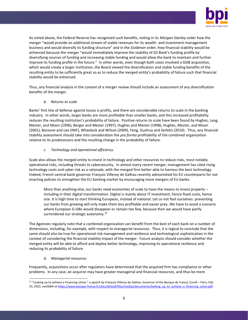

As noted above, the Federal Reserve has recognized such benefits, noting in its *Morgan Stanley* order how the merger "would provide an additional stream of stable revenues for its wealth- and investment-management business and would diversify its funding structure" and in the *Goldman* order, how financial stability would be enhanced because the merger "would immediately improve the stability of GS Bank's funding profile by diversifying sources of funding and increasing stable funding and would allow the bank to maintain and further improve its funding profile in the future." In other words, even though both cases involved a GSIB acquisition, which would create a larger institution, the Board viewed the diversification and stable funding benefits of the resulting entity to be sufficiently great so as to reduce the merged entity's probability of failure such that financial stability would be enhanced.

Thus, any financial analysis in the context of a merger review should include an assessment of any diversification benefits of the merger.

#### *b. Returns to scale*

Banks' first line of defense against losses is profits, and there are considerable returns to scale in the banking industry. In other words, larger banks are more profitable than smaller banks, and this increased profitability reduces the resulting institution's probability of failure. Positive returns to scale have been found by Hughes, Lang, Mester, and Moon (1996), Berger and Mester (1997), Hughes and Mester (1998), Hughes, Mester, and Moon (2001), Bossone and Lee (IMF), Wheelock and Wilson (2009), Feng, Guohua and Serletis (2010). Thus, any financial stability assessment should take into consideration the *pro forma* profitability of the combined organization relative to its predecessors and the resulting change in the probability of failure.

#### *c. Technology and operational efficiency*

Scale also allows the merged entity to invest in technology and other resources to reduce risks, most notably operational risks, including threats to cybersecurity. In almost every recent merger, management has cited rising technology costs and cyber risk as a rationale, with the merged firm better able to harness the best technology. Indeed, French central bank governor François Villeroy de Galhau recently admonished his EU counterparts for not enacting policies to strengthen the EU banking market by encouraging more mergers of EU banks:

More than anything else, our banks need economies of scale to have the means to invest properly – including in their digital transformation. Digital is mainly about IT investment, hence fixed costs, hence size. It is high time to start thinking European, instead of national. Let us not fool ourselves: preventing our banks from growing will only make them less profitable and easier prey. We have to avoid a scenario where European G-SIBs would disappear or remain too few, because then we would have partly surrendered our strategic autonomy.<sup>25</sup>

The Agencies regularly note that a combined organization can benefit from the best of each bank on a number of dimensions, including, for example, with respect to managerial resources. Thus, it is logical to conclude that the same should also be true for operational risk management and resilience and technological sophistication in the context of considering the financial stability impact of the merger. Future analysis should consider whether the merged entity will be able to afford and deploy better technology, improving its operational resilience and reducing its probability of failure.

#### *d. Managerial resources*

Frequently, acquisitions occur after regulators have determined that the acquired firm has compliance or other problems. In any case, an acquiror may have greater managerial and financial resources, and thus be more

<sup>&</sup>lt;sup>25</sup> "Looking up to achieve a Financing Union," a speech by François Villeroy de Galhau, Governor of the Banque de France, Eurofi – Paris, Feb. 23, 2022, *available at https://www.banque-france.fr/sites/default/files/medias/documents/looking\_up\_to\_achieve\_a\_financing\_union.pdf.*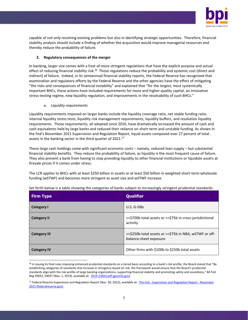

capable of not only resolving existing problems but also in identifying strategic opportunities. Therefore, financial stability analysis should include a finding of whether the acquisition would improve managerial resources and thereby reduce the probability of failure.

#### **2. Regulatory consequences of the merger**

In banking, larger size comes with a host of more stringent regulations that have the explicit purpose and actual effect of reducing financial stability risk.<sup>26</sup> Those regulations reduce the probability and systemic cost (direct and indirect) of failure. Indeed, in its semiannual financial stability reports, the Federal Reserve has recognized that examination and regulatory efforts by the Federal Reserve and the other agencies have the effect of mitigating "the risks and consequences of financial instability" and explained that "for the largest, most systemically important BHCs, these actions have included requirements for more and higher quality capital, an innovative stress-testing regime, new liquidity regulation, and improvements in the resolvability of such BHCs."

a. *Liquidity requirements* 

Liquidity requirements imposed on larger banks include the liquidity coverage ratio, net stable funding ratio, internal liquidity stress tests, liquidity risk management requirements, liquidity buffers, and resolution liquidity requirements. Those requirements, all adopted since 2010, have dramatically increased the amount of cash and cash equivalents held by large banks and reduced their reliance on short-term and unstable funding. As shown in the Fed's November 2021 Supervision and Regulation Report, liquid assets composed over 27 percent of total assets in the banking sector in the third quarter of 2021.<sup>27</sup>

These large cash holdings come with significant economic costs – namely, reduced loan supply – but substantial financial stability benefits. They reduce the probability of failure, as liquidity is the most frequent cause of failure. They also prevent a bank from having to stop providing liquidity to other financial institutions or liquidate assets at firesale prices if it comes under stress.

The LCR applies to BHCs with at least \$250 billion in assets or at least \$50 billion in weighted short-term wholesale funding (wSTWF) and becomes more stringent as asset size and wSTWF increase.

| <b>Firm Type</b>    | <b>Qualifier</b>                                                                 |
|---------------------|----------------------------------------------------------------------------------|
| <b>Category I</b>   | U.S. G-SIBs                                                                      |
| <b>Category II</b>  | >=\$700b total assets or >=\$75b in cross-jurisdictional<br>activity             |
| <b>Category III</b> | >=\$250b total assets or >=\$75b in NBA, wSTWF or off-<br>balance-sheet exposure |
| <b>Category IV</b>  | Other firms with \$100b to \$250b total assets                                   |

Set forth below is a table showing the categories of banks subject to increasingly stringent prudential standards:

<sup>&</sup>lt;sup>26</sup> In issuing its final rules imposing enhanced prudential standards on a tiered basis according to a bank's risk profile, the Board stated that "By establishing categories of standards that increase in stringency based on risk, the framework would ensure that the Board's prudential standards align with the risk profile of large banking organizations, supporting financial stability and promoting safety and soundness*,*" 84 Fed. Reg 59032, 59037 (Nov. 1, 2019), available at: [2019-23662.pdf \(govinfo.gov\).](https://www.govinfo.gov/content/pkg/FR-2019-11-01/pdf/2019-23662.pdf) 

<sup>&</sup>lt;sup>27</sup> Federal Reserve Supervision and Regulation Report (Nov. 30, 2022), available at: The Fed - [Supervision and Regulation Report -](https://www.federalreserve.gov/publications/2021-november-supervision-and-regulation-report.htm) November [2021 \(federalreserve.gov\).](https://www.federalreserve.gov/publications/2021-november-supervision-and-regulation-report.htm)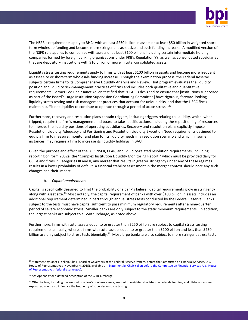

The NSFR's requirements apply to BHCs with at least \$250 billion in assets or at least \$50 billion in weighted shortterm wholesale funding and become more stringent as asset size and such funding increase. A modified version of the NSFR rule applies to companies with assets of at least \$100 billion, including certain intermediate holding companies formed by foreign banking organizations under FRB's Regulation YY, as well as consolidated subsidiaries that are depository institutions with \$10 billion or more in total consolidated assets.

Liquidity stress testing requirements apply to firms with at least \$100 billion in assets and become more frequent as asset size or short-term wholesale funding increase. Though the examination process, the Federal Reserve subjects certain firms to its Comprehensive Liquidity Analysis and Review. That program evaluates the liquidity position and liquidity risk-management practices of firms and includes both qualitative and quantitative requirements. Former Fed Chair Janet Yellen testified that "CLAR is designed to ensure that [institutions supervised as part of the Board's Large Institution Supervision Coordinating Committee] have rigorous, forward-looking liquidity stress testing and risk-management practices that account for unique risks, and that the LISCC firms maintain sufficient liquidity to continue to operate through a period of acute stress."<sup>28</sup>

Furthermore, recovery and resolution plans contain triggers, including triggers relating to liquidity, which, when tripped, require the firm's management and board to take specific actions, including the repositioning of resources to improve the liquidity positions of operating subsidiaries. Recovery and resolution plans explicitly impose Resolution Liquidity Adequacy and Positioning and Resolution Liquidity Execution Need requirements designed to equip a firm to measure, monitor and plan for its liquidity needs in a resolution scenario and which, in some instances, may require a firm to increase its liquidity holdings in BAU.

Given the purpose and effect of the LCR, NSFR, CLAR, and liquidity-related resolution requirements, including reporting on form 2052a, the "Complex Institution Liquidity Monitoring Report," which must be provided daily for GSIBs and firms in Categories III and II, any merger that results in greater stringency under any of these regimes results in a lower probability of default. A financial stability assessment in the merger context should note any such changes and their impact.

#### b. *Capital requirements*

Capital is specifically designed to limit the probability of a bank's failure. Capital requirements grow in stringency along with asset size.<sup>29</sup> Most notably, the capital requirement of banks with over \$100 billion in assets includes an additional requirement determined in part through annual stress tests conducted by the Federal Reserve. Banks subject to the tests must have capital sufficient to pass minimum regulatory requirements after a nine-quarter period of severe economic stress. Smaller banks are only subject to the static minimum requirements. In addition, the largest banks are subject to a GSIB surcharge, as noted above.

Furthermore, firms with total assets equal to or greater than \$250 billion are subject to capital stress testing requirements annually, whereas firms with total assets equal to or greater than \$100 billion and less than \$250 billion are only subject to stress tests biennially.<sup>30</sup> Most large banks are also subject to more stringent stress tests

<sup>&</sup>lt;sup>28</sup> Statement by Janet L. Yellen, Chair, Board of Governors of the Federal Reserve System, before the Committee on Financial Services, U.S. House of Representatives (November 4, 2015), available at: [Statement by Chair Yellen before the Committee on Financial Services, U.S. House](https://www.federalreserve.gov/newsevents/testimony/files/yellen20151104a.pdf)  [of Representatives \(federalreserve.gov\).](https://www.federalreserve.gov/newsevents/testimony/files/yellen20151104a.pdf) 

<sup>29</sup> *See* Appendix for a detailed description of the GSIB surcharge.

<sup>30</sup> Other factors, including the amount of a firm's nonbank assets, amount of weighted short-term wholesale funding, and off-balance-sheet exposures, could also influence the frequency of supervisory stress testing.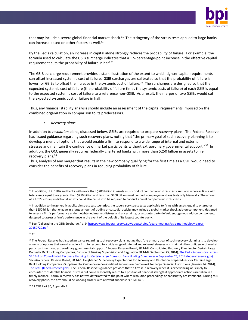

that may include a severe global financial market shock.<sup>31</sup> The stringency of the stress tests applied to large banks can increase based on other factors as well.<sup>32</sup>

By the Fed's calculation, an increase in capital alone strongly reduces the probability of failure. For example, the formula used to calculate the GSIB surcharge indicates that a 1.5-percentage-point increase in the effective capital requirement cuts the probability of failure in half.<sup>33</sup>

The GSIB surcharge requirement provides a stark illustration of the extent to which tighter capital requirements can offset increased systemic cost of failure. GSIB surcharges are calibrated so that the probability of failure is lower for GSIBs to offset the increase in the systemic cost of failure.<sup>34</sup> The surcharges are designed so that the expected systemic cost of failure (the probability of failure times the systemic costs of failure) of each GSIB is equal to the expected systemic cost of failure to a reference non-GSIB. As a result, the merger of two GSIBs would cut the expected systemic cost of failure in half.

Thus, any financial stability analysis should include an assessment of the capital requirements imposed on the combined organization in comparison to its predecessors.

c. *Recovery plans*

In addition to *resolution* plans, discussed below, GSIBs are required to prepare *recovery* plans. The Federal Reserve has issued guidance regarding such recovery plans, noting that "the primary goal of such recovery planning is to develop a menu of options that would enable a firm to respond to a wide range of internal and external stresses and maintain the confidence of market participants without extraordinary governmental support."<sup>35</sup> In addition, the OCC generally requires federally chartered banks with more than \$250 billion in assets to file recovery plans.<sup>36</sup>

Thus, analysis of any merger that results in the new company qualifying for the first time as a GSIB would need to consider the benefits of recovery plans in reducing probability of failure.

<sup>34</sup> *Id*.

<sup>31</sup> In addition, U.S. GSIBs and banks with more than \$700 billion in assets must conduct company-run stress tests annually, whereas firms with total assets equal to or greater than \$250 billion and less than \$700 billion must conduct company-run stress tests only biennially. The amount of a firm's cross-jurisdictional activity could also cause it to be required to conduct annual company-run stress tests.

<sup>&</sup>lt;sup>32</sup> In addition to the generally applicable stress test scenarios, the supervisory stress tests applicable to firms with assets equal to or greater than \$250 billion that engage in a large amount of trading or custodial activity may include a global market shock add-on component, designed to assess a firm's performance under heightened market distress and uncertainty, or a counterparty default endogenous add-on component, designed to assess a firm's performance in the event of the default of its largest counterparty.

<sup>33</sup> See "Calibrating the GSIB Surcharge," p. 9, [https://www.federalreserve.gov/aboutthefed/boardmeetings/gsib-methodology-paper-](https://www.federalreserve.gov/aboutthefed/boardmeetings/gsib-methodology-paper-20150720.pdf)[20150720.pdf.](https://www.federalreserve.gov/aboutthefed/boardmeetings/gsib-methodology-paper-20150720.pdf)

<sup>&</sup>lt;sup>35</sup> The Federal Reserve has issued guidance regarding such recovery plans, noting that "the primary goal of such recovery planning is to develop a menu of options that would enable a firm to respond to a wide range of internal and external stresses and maintain the confidence of market participants without extraordinary governmental support." Federal Reserve Board, SR 14-8: Consolidated Recovery Planning for Certain Large Domestic Bank Holding Companies, Division of Banking Supervision and Regulation SR 14-8 (September 25, 2014), The Fed - Supervisory Letters [SR 14-8 on Consolidated Recovery Planning for Certain Large Domestic Bank Holding Companies --](https://www.federalreserve.gov/supervisionreg/srletters/sr1408.htm) September 25, 2014 (federalreserve.gov). *See also* Federal Reserve Board, SR 14-1: Heightened Supervisory Expectations for Recovery and Resolution Preparedness for Certain Large Bank Holding Companies - Supplemental Guidance on Consolidated Supervision Framework for Large Financial Institutions (January 24, 2014), The Fed - [\(federalreserve.gov\)](https://www.federalreserve.gov/supervisionreg/srletters/sr1401.htm). The Federal Reserve's guidance provides that "a firm is in recovery when it is experiencing or is likely to encounter considerable financial distress but could reasonably return to a position of financial strength if appropriate actions are taken in a timely manner. A firm in recovery has not yet deteriorated to the point where resolution proceedings or bankruptcy are imminent. During this recovery phase, the firm should be working closely with relevant supervisors." SR 14-8.

<sup>&</sup>lt;sup>36</sup> 12 CFR Part 30, Appendix E.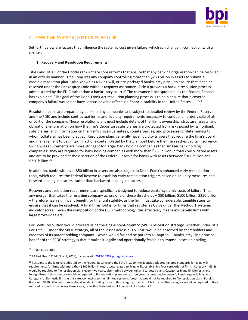

## C. EFFECT ON SYSTEMIC COST GIVEN FAILURE

Set forth below are factors that influence the systemic cost given failure, which can change in connection with a merger.

#### **1. Recovery and Resolution Requirements**

Title I and Title II of the Dodd-Frank Act are core reforms that ensure that any banking organization can be resolved in an orderly manner. Title I requires any company controlling more than \$250 billion in assets to submit a credible resolution plan – also known as a living will, or pre-packaged bankruptcy plan – to ensure that it can be resolved under the Bankruptcy Code without taxpayer assistance. Title II provides a backup resolution process administered by the FDIC rather than a bankruptcy court.<sup>37</sup> The relevance is indisputable: as the Federal Reserve has explained, "The goal of the Dodd-Frank Act resolution planning process is to help ensure that a covered company's failure would not have serious adverse effects on financial stability in the United States . . . "<sup>38</sup>

Resolution plans are prepared by bank holding companies and subject to detailed review by the Federal Reserve and the FDIC and include contractual terms and liquidity requirements necessary to conduct an orderly sale of all or part of the company. These resolution plans must include details of the firm's ownership, structure, assets, and obligations; information on how the firm's depository subsidiaries are protected from risks posed by its nonbank subsidiaries; and information on the firm's cross-guarantees, counterparties, and processes for determining to whom collateral has been pledged. Resolution plans generally have liquidity triggers that require the firm's board and management to begin taking actions contemplated by the plan well before the firm reaches capital insolvency. Living will requirements are more stringent for larger bank holding companies than smaller bank holding companies: they are required for bank holding companies with more than \$250 billion in total consolidated assets and are to be provided at the discretion of the Federal Reserve for banks with assets between \$100 billion and  $$250$  billion. $^{39}$ 

In addition, banks with over \$50 billion in assets are also subject to Dodd-Frank's enhanced early remediation tools, which requires the Federal Reserve to establish early remediation triggers based on liquidity measures and forward-looking indicators, rather than backward-looking indicators.

Recovery and resolution requirements are specifically designed to reduce banks' systemic costs of failure. Thus, any merger that takes the resulting company across one of these thresholds – \$50 billion, \$100 billion, \$250 billion – therefore has a significant benefit for financial stability, as the firm must take considerable, tangible steps to ensure that it can be resolved. A final threshold is for firms that register as GSIBs under the Method 1 systemic indicator score. Given the composition of the GSIB methodology, this effectively means exclusively firms with large broker-dealers.

For GSIBs, resolution would proceed using the single-point-of-entry (SPOE) resolution strategy, whether under Title I or Title II. Under the SPOE strategy, all of the losses across a U.S. GSIB would be absorbed by shareholders and creditors of its parent holding company – which would fail and be put into a Chapter 11 bankruptcy. The principal benefit of the SPOE strategy is that it makes it legally and operationally feasible to impose losses on holding

<sup>37</sup> 12 U.S.C. 5383(b).

<sup>38</sup> 84 Fed. Reg. 59194 (Nov. 1, 2019), *available at*: [2019-23967.pdf \(govinfo.gov\).](https://www.govinfo.gov/content/pkg/FR-2019-11-01/pdf/2019-23967.pdf)

<sup>&</sup>lt;sup>39</sup> Pursuant to the joint rule adopted by the Federal Reserve and the FDIC in 2019, the agencies adopted tailored standards for living will requirements for firms with more than \$100 billion in total assets related to living wills, establishing four categories of firms: Category I: GSIBs would be required to file resolution plans every two years, alternating between full and targeted plans; Categories II and III: Domestic and foreign firms in this category would be required to file resolution plans every three years, alternating between full and targeted plans. And Category IV: Domestic firms in this category, owing to their limited systemic footprint, would not be required to file resolution plans. Foreign firms with \$250 billion or more in global assets, including those in this category, that do not fall in any other category would be required to file a reduced resolution plan every three years, reflecting their limited U.S. systemic footprint. *Id*.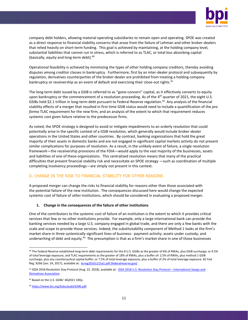

company debt holders, allowing material operating subsidiaries to remain open and operating. SPOE was created as a direct response to financial stability concerns that arose from the failure of Lehman and other broker-dealers that relied heavily on short-term funding. This goal is achieved by maintaining, at the holding company level, substantial liabilities that cannot run in stress, which is referred to as TLAC, or total loss absorbing capital (basically, equity and long-term debt).<sup>40</sup>

Operational feasibility is achieved by minimizing the types of other holding company creditors, thereby avoiding disputes among creditor classes in bankruptcy. Furthermore, first by an inter-dealer protocol and subsequently by regulation, derivatives counterparties of the broker-dealer are prohibited from treating a holding company bankruptcy or receivership as an event of default and exercising their close-out rights.<sup>41</sup>

The long-term debt issued by a GSIB is referred to as "gone-concern" capital, as it effectively converts to equity upon bankruptcy or the commencement of a resolution proceeding. As of the 4<sup>th</sup> quarter of 2021, the eight U.S. GSIBs held \$2.1 trillion in long-term debt pursuant to Federal Reserve regulation.<sup>42</sup> Any analysis of the financial stability effects of a merger that resulted in first-time GSIB status would need to include a quantification of the *pro forma* TLAC requirement for the new firm, and an analysis of the extent to which that requirement reduces systemic cost given failure relative to the predecessor firms.

As noted, the SPOE strategy is designed to avoid or mitigate impediments to an orderly resolution that could potentially arise in the specific context of a GSIB resolution, which generally would include broker-dealer operations in the United States and other countries. By contrast, banking organizations that hold the great majority of their assets in domestic banks and are not engaged in significant capital markets activity do not present similar complications for purposes of resolution. As a result, in the unlikely event of failure, a single resolution framework—the receivership provisions of the FDIA—would apply to the vast majority of the businesses, assets and liabilities of one of these organizations. This centralized resolution means that many of the practical difficulties that present financial stability risk and necessitate an SPOE strategy —such as coordination of multiple completing insolvency proceedings—are simply not present in this context.

### D. CHANGE IN THE RISK TO FINANCIAL STABILITY FOR OTHER REASONS

A proposed merger can change the risks to financial stability for reasons other than those associated with the potential failure of the new institution. The consequences discussed here would change the expected systemic cost of failure of *other* institutions, which should be considered in evaluating a proposed merger.

#### **1. Change in the consequences of the failure of other institutions**

One of the contributors to the systemic cost of failure of an institution is the extent to which it provides critical services that few or no other institutions provide. For example, only a large international bank can provide the banking services needed by a large U.S. company engaged in global trade, and there are only a few banks with the scale and scope to provide those services. Indeed, the substitutability component of Method 1 looks at the firm's market share in three systemically significant lines of business: payment activity; assets under custody; and underwriting of debt and equity.<sup>43</sup> The presumption is that as a firm's market share in one of those businesses

<sup>&</sup>lt;sup>40</sup> The Federal Reserve established long-term debt requirements for the 8 U.S. GSIBs as the greater of 6% of RWAs, plus GSIB surcharge; or 4.5% of total leverage exposure, and TLAC requirements as the greater of 18% of RWAs, plus a buffer of: 2.5% of RWAs, plus method 1 GSIB surcharge, plus any countercyclical capital buffer; or 7.5% of total leverage exposure, plus a buffer of 2% of total leverage exposure. 82 Fed. Reg. 8266 (Jan. 24, 2017), available at: [bcreg20161215a1.pdf \(federalreserve.gov\)](https://www.federalreserve.gov/newsevents/pressreleases/files/bcreg20161215a1.pdf)

<sup>41</sup> ISDA 2018 Resolution Stay Protocol (Aug. 22. 2018), available at: [ISDA 2018 U.S. Resolution Stay Protocol](https://www.isda.org/protocol/isda-2018-us-resolution-stay-protocol/) - International Swaps and [Derivatives Association.](https://www.isda.org/protocol/isda-2018-us-resolution-stay-protocol/)

<sup>42</sup> Based on the U.S. GSIBs' 4Q2021 10Qs.

<sup>43</sup> [https://www.bis.org/bcbs/publ/d296.pdf.](https://www.bis.org/bcbs/publ/d296.pdf)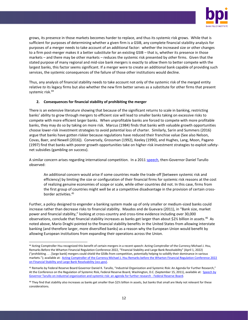

grows, its presence in those markets becomes harder to replace, and thus its systemic risk grows. While that is sufficient for purposes of determining whether a given firm is a GSIB, any complete financial stability analysis for purposes of a merger needs to take account of an additional factor: whether the increased size or other changes to a firm post-merger makes it a better substitute for an existing GSIB – that is, whether its presence in those markets – and there may be other markets – reduces the systemic risk presented by *other* firms. Given that the stated purpose of many regional and mid-size bank mergers is exactly to allow them to better compete with the largest banks, this factor seems significant. If a merger were to create an additional bank capable of providing such services, the systemic consequences of the failure of those other institutions would decline.

Thus, any analysis of financial stability needs to take account not only of the systemic risk of the merged entity relative *to* its legacy firms but also whether the new firm better serves as a substitute for other firms that present systemic risk.<sup>44</sup>

#### **2. Consequences for financial stability of prohibiting the merger**

There is an extensive literature showing that because of the significant returns to scale in banking, restricting banks' ability to grow through mergers to efficient size will lead to smaller banks taking on excessive risks to compete with more efficient larger banks. When unprofitable banks are forced to compete with more profitable banks, they may do so by taking on more risk. Marcus (1984) finds that banks with valuable growth opportunities choose lower-risk investment strategies to avoid potential loss of charter. Similarly, Sarin and Summers (2016) argue that banks have gotten riskier because regulations have reduced their franchise value (See also Nelson, Covas, Baer, and Newell (2016)). Conversely, Grossman (1992), Keeley (1990), and Hughes, Lang, Moon, Pagano (1997) find that banks with poorer growth opportunities take on higher-risk investment strategies to exploit safetynet subsidies (gambling on success).

A similar concern arises regarding international competition. In a 2011 [speech,](https://www.federalreserve.gov/newsevents/speech/tarullo20110915a.htm) then-Governor Daniel Tarullo observed:

An additional concern would arise if some countries made the trade-off [between systemic risk and efficiency] by limiting the size or configuration of their financial firms for systemic risk reasons at the cost of realizing genuine economies of scope or scale, while other countries did not. In this case, firms from the first group of countries might well be at a competitive disadvantage in the provision of certain crossborder activities.<sup>45</sup>

Further, a policy designed to engender a banking system made up of only smaller or medium-sized banks could increase rather than decrease risks to financial stability. Maudos and de Guevara (2011), in "Bank size, market power and financial stability," looking at cross-country and cross-time evidence including over 30,000 observations, conclude that financial stability increases as banks get larger than about \$2½ billion in assets.<sup>46</sup> As noted above, Mario Draghi pointed to the financial stability benefits in the United States from allowing interstate banking (and therefore larger, more diversified banks) as a reason why the European Union would benefit by allowing European institutions from expanding their operations across the Union.

<sup>44</sup> Acting Comptroller Hsu recognized this benefit of certain mergers in a recent speech: Acting Comptroller of the Currency Michael J. Hsu, Remarks Before the Wharton Financial Regulation Conference 2022, "Financial Stability and Large Bank Resolvability" (April 1, 2022) ("prohibiting . . . [large bank] mergers could shield the GSIBs from competition, potentially helping to solidify their dominance in various markets."); available at: [Acting Comptroller of the Currency Michael J. Hsu Remarks before the Wharton Financial Regulation Conference 2022](https://www.occ.gov/news-issuances/speeches/2022/pub-speech-2022-33.pdf)  [on Financial Stability and Large Bank Resolvability \(occ.gov\).](https://www.occ.gov/news-issuances/speeches/2022/pub-speech-2022-33.pdf) 

<sup>45</sup> Remarks by Federal Reserve Board Governor Daniel K. Tarullo, "Industrial Organization and Systemic Risk: An Agenda for Further Research," At the Conference on the Regulation of Systemic Risk, Federal Reserve Board, Washington, D.C. (September 15, 2011), available at: [Speech by](https://www.federalreserve.gov/newsevents/speech/tarullo20110915a.htm)  [Governor Tarullo on industrial organization and systemic risk: an agenda for further research -](https://www.federalreserve.gov/newsevents/speech/tarullo20110915a.htm) Federal Reserve Board.

<sup>&</sup>lt;sup>46</sup> They find that stability also increases as banks get smaller than \$2½ billion in assets, but banks that small are likely not relevant for these considerations.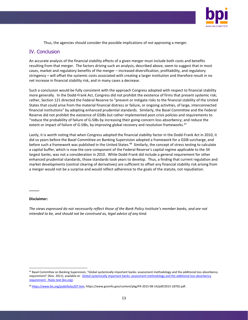

Thus, the agencies should consider the possible implications of *not* approving a merger.

## IV. Conclusion

An accurate analysis of the financial stability effects of a given merger must include both costs and benefits resulting from that merger. The factors driving such an analysis, described above, seem to suggest that in most cases, market and regulatory benefits of the merger – increased diversification, profitability, and regulatory stringency – will offset the systemic costs associated with creating a larger institution and therefore result in no net increase in financial stability risk, and in many cases a decrease.

Such a conclusion would be fully consistent with the approach Congress adopted with respect to financial stability more generally. In the Dodd-Frank Act, Congress did not prohibit the existence of firms that present systemic risk; rather, Section 121 directed the Federal Reserve to "prevent or mitigate risks to the financial stability of the United States that could arise from the material financial distress or failure, or ongoing activities, of large, interconnected financial institutions" by adopting enhanced prudential standards. Similarly, the Basel Committee and the Federal Reserve did not prohibit the existence of GSIBs but rather implemented post-crisis policies and requirements to "reduce the probability of failure of G-SIBs by increasing their going-concern loss absorbency; and reduce the extent or impact of failure of G-SIBs, by improving global recovery and resolution frameworks.<sup>47</sup>

Lastly, it is worth noting that when Congress adopted the financial stability factor in the Dodd-Frank Act in 2010, it did so years before the Basel Committee on Banking Supervision adopted a framework for a GSIB surcharge, and before such a framework was published in the United States.<sup>48</sup> Similarly, the concept of stress testing to calculate a capital buffer, which is now the core component of the Federal Reserve's capital regime applicable to the 34 largest banks, was not a consideration in 2010. While Dodd-Frank did include a general requirement for other enhanced prudential standards, those standards took years to develop. Thus, a finding that current regulation and market developments (central clearing of derivatives) are sufficient to offset any financial stability risk arising from a merger would not be a surprise and would reflect adherence to the goals of the statute, not repudiation.

#### **Disclaimer:**

**\_\_\_\_\_**

*The views expressed do not necessarily reflect those of the Bank Policy Institute's member banks, and are not intended to be, and should not be construed as, legal advice of any kind.*

<sup>47</sup> Basel Committee on Banking Supervision, "Global systemically important banks: assessment methodology and the additional loss absorbency requirement" (Nov. 2011), available at: Global systemically important banks: assessment methodology and the additional loss absorbency requirement - [Rules text \(bis.org\).](https://www.bis.org/publ/bcbs207.pdf)

<sup>48</sup> [https://www.bis.org/publ/bcbs207.htm;](https://www.bis.org/publ/bcbs207.htm) https://www.govinfo.gov/content/pkg/FR-2015-08-14/pdf/2015-18702.pdf.